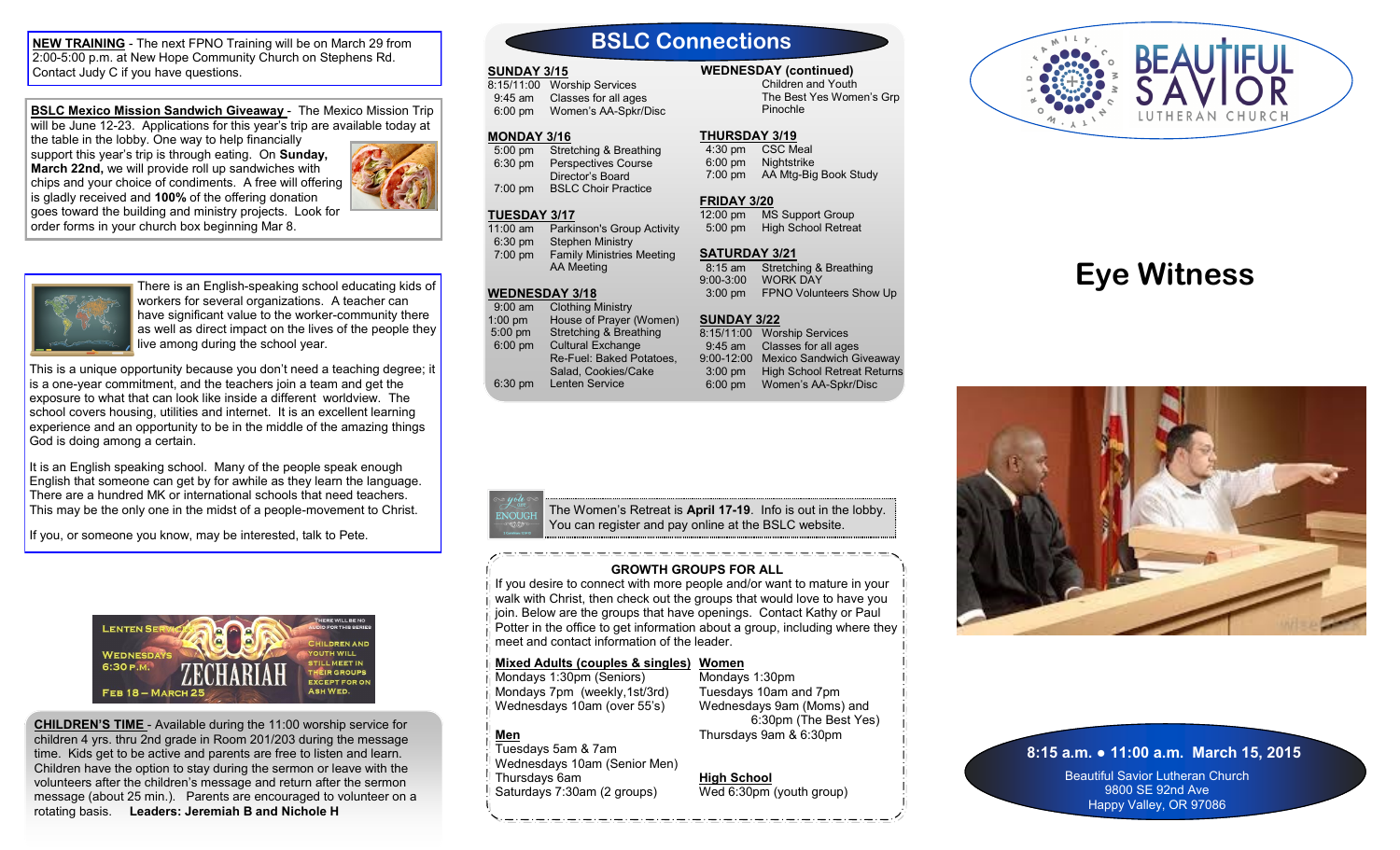**NEW TRAINING** - The next FPNO Training will be on March 29 from 2:00-5:00 p.m. at New Hope Community Church on Stephens Rd. Contact Judy C if you have questions.

**BSLC Mexico Mission Sandwich Giveaway** - The Mexico Mission Trip will be June 12-23. Applications for this year's trip are available today at the table in the lobby. One way to help financially

support this year's trip is through eating. On **Sunday, March 22nd,** we will provide roll up sandwiches with chips and your choice of condiments. A free will offering is gladly received and **100%** of the offering donation goes toward the building and ministry projects. Look for order forms in your church box beginning Mar 8.





There is an English-speaking school educating kids of workers for several organizations. A teacher can have significant value to the worker-community there as well as direct impact on the lives of the people they live among during the school year.

This is a unique opportunity because you don't need a teaching degree; it is a one-year commitment, and the teachers join a team and get the exposure to what that can look like inside a different worldview. The school covers housing, utilities and internet. It is an excellent learning experience and an opportunity to be in the middle of the amazing things God is doing among a certain.

It is an English speaking school. Many of the people speak enough English that someone can get by for awhile as they learn the language. There are a hundred MK or international schools that need teachers. This may be the only one in the midst of a people-movement to Christ.

If you, or someone you know, may be interested, talk to Pete.



**CHILDREN'S TIME** - Available during the 11:00 worship service for children 4 yrs. thru 2nd grade in Room 201/203 during the message time. Kids get to be active and parents are free to listen and learn. Children have the option to stay during the sermon or leave with the volunteers after the children's message and return after the sermon message (about 25 min.). Parents are encouraged to volunteer on a rotating basis. **Leaders: Jeremiah B and Nichole H**

## **BSLC Connections**

#### **SUNDAY 3/15**

8:15/11:00 Worship Services 9:45 am Classes for all ages 6:00 pm Women's AA-Spkr/Disc

#### **MONDAY 3/16**

 5:00 pm Stretching & Breathing 6:30 pm Perspectives Course Director's Board 7:00 pm BSLC Choir Practice

#### **TUESDAY 3/17**

11:00 am Parkinson's Group Activity 6:30 pm Stephen Ministry<br>7:00 pm Family Ministries **Family Ministries Meeting** AA Meeting

#### **WEDNESDAY 3/18**

 9:00 am Clothing Ministry 1:00 pm House of Prayer (Women)<br>5:00 pm Stretching & Breathing Stretching & Breathing 6:00 pm Cultural Exchange Re-Fuel: Baked Potatoes, Salad, Cookies/Cake 6:30 pm Lenten Service

## **WEDNESDAY (continued)**

Children and Youth The Best Yes Women's Grp Pinochle

#### **THURSDAY 3/19**

 4:30 pm CSC Meal 6:00 pm Nightstrike 7:00 pm AA Mtg-Big Book Study

**FRIDAY 3/20** 12:00 pm MS Support Group

5:00 pm High School Retreat

#### **SATURDAY 3/21**

8:15 am Stretching & Breathing<br>9:00-3:00 WORK DAY WORK DAY 3:00 pm FPNO Volunteers Show Up

#### **SUNDAY 3/22**

8:15/11:00 Worship Services 9:45 am Classes for all ages 9:00-12:00 Mexico Sandwich Giveaway 3:00 pm High School Retreat Returns 6:00 pm Women's AA-Spkr/Disc



#### **GROWTH GROUPS FOR ALL**

If you desire to connect with more people and/or want to mature in your walk with Christ, then check out the groups that would love to have you join. Below are the groups that have openings. Contact Kathy or Paul Potter in the office to get information about a group, including where they in meet and contact information of the leader.

#### **Mixed Adults (couples & singles) Women**

Mondays 1:30pm (Seniors) Mondays 7pm (weekly,1st/3rd) Wednesdays 10am (over 55's)

**Men**

Mondays 1:30pm Tuesdays 10am and 7pm Wednesdays 9am (Moms) and 6:30pm (The Best Yes) Thursdays 9am & 6:30pm

Tuesdays 5am & 7am Wednesdays 10am (Senior Men) Thursdays 6am Saturdays 7:30am (2 groups) **High School** Wed 6:30pm (youth group) **8:15 a.m. ● 11:00 a.m. March 15, 2015**

Beautiful Savior Lutheran Church 9800 SE 92nd Ave Happy Valley, OR 97086



**Eye Witness**